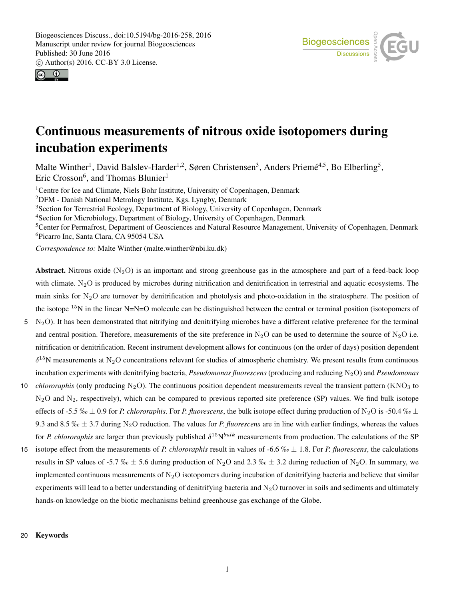



# Continuous measurements of nitrous oxide isotopomers during incubation experiments

Malte Winther<sup>1</sup>, David Balslev-Harder<sup>1,2</sup>, Søren Christensen<sup>3</sup>, Anders Priemé<sup>4,5</sup>, Bo Elberling<sup>5</sup>, Eric Crosson<sup>6</sup>, and Thomas Blunier<sup>1</sup>

<sup>1</sup>Centre for Ice and Climate, Niels Bohr Institute, University of Copenhagen, Denmark

<sup>2</sup>DFM - Danish National Metrology Institute, Kgs. Lyngby, Denmark

<sup>3</sup>Section for Terrestrial Ecology, Department of Biology, University of Copenhagen, Denmark

<sup>4</sup>Section for Microbiology, Department of Biology, University of Copenhagen, Denmark

<sup>5</sup>Center for Permafrost, Department of Geosciences and Natural Resource Management, University of Copenhagen, Denmark <sup>6</sup>Picarro Inc, Santa Clara, CA 95054 USA

*Correspondence to:* Malte Winther (malte.winther@nbi.ku.dk)

Abstract. Nitrous oxide  $(N_2O)$  is an important and strong greenhouse gas in the atmosphere and part of a feed-back loop with climate.  $N_2O$  is produced by microbes during nitrification and denitrification in terrestrial and aquatic ecosystems. The main sinks for  $N_2O$  are turnover by denitrification and photolysis and photo-oxidation in the stratosphere. The position of the isotope <sup>15</sup>N in the linear N=N=O molecule can be distinguished between the central or terminal position (isotopomers of

- $5 \text{ N}_2\text{O}$ ). It has been demonstrated that nitrifying and denitrifying microbes have a different relative preference for the terminal and central position. Therefore, measurements of the site preference in N<sub>2</sub>O can be used to determine the source of N<sub>2</sub>O i.e. nitrification or denitrification. Recent instrument development allows for continuous (on the order of days) position dependent  $\delta^{15}$ N measurements at N<sub>2</sub>O concentrations relevant for studies of atmospheric chemistry. We present results from continuous incubation experiments with denitrifying bacteria, *Pseudomonas fluorescens* (producing and reducing N<sub>2</sub>O) and *Pseudomonas*
- 10 *chlororaphis* (only producing N<sub>2</sub>O). The continuous position dependent measurements reveal the transient pattern (KNO<sub>3</sub> to  $N_2$ O and  $N_2$ , respectively), which can be compared to previous reported site preference (SP) values. We find bulk isotope effects of -5.5 ‰  $\pm$  0.9 for *P. chlororaphis*. For *P. fluorescens*, the bulk isotope effect during production of N<sub>2</sub>O is -50.4 ‰  $\pm$ 9.3 and 8.5  $\%$   $\leq$   $\pm$  3.7 during N<sub>2</sub>O reduction. The values for *P. fluorescens* are in line with earlier findings, whereas the values for *P. chlororaphis* are larger than previously published  $\delta^{15}N^{bulk}$  measurements from production. The calculations of the SP
- 15 isotope effect from the measurements of *P. chlororaphis* result in values of -6.6  $\%$   $\alpha \pm 1.8$ . For *P. fluorescens*, the calculations results in SP values of -5.7 ‰  $\pm$  5.6 during production of N<sub>2</sub>O and 2.3 ‰  $\pm$  3.2 during reduction of N<sub>2</sub>O. In summary, we implemented continuous measurements of  $N_2O$  isotopomers during incubation of denitrifying bacteria and believe that similar experiments will lead to a better understanding of denitrifying bacteria and  $N_2O$  turnover in soils and sediments and ultimately hands-on knowledge on the biotic mechanisms behind greenhouse gas exchange of the Globe.

## 20 Keywords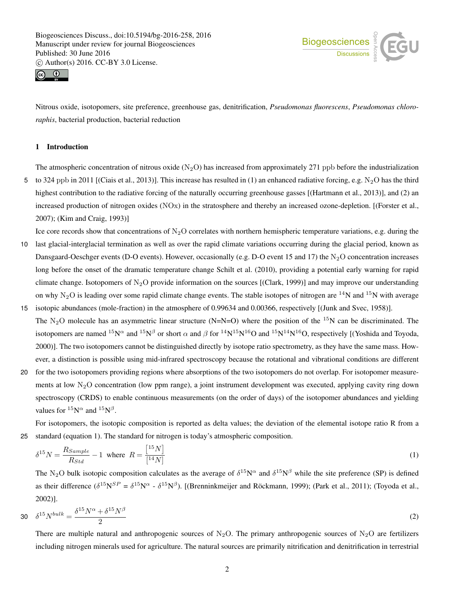



Nitrous oxide, isotopomers, site preference, greenhouse gas, denitrification, *Pseudomonas fluorescens*, *Pseudomonas chlororaphis*, bacterial production, bacterial reduction

## 1 Introduction

The atmospheric concentration of nitrous oxide  $(N_2O)$  has increased from approximately 271 ppb before the industrialization 5 to 324 ppb in 2011 [(Ciais et al., 2013)]. This increase has resulted in (1) an enhanced radiative forcing, e.g.  $N_2O$  has the third highest contribution to the radiative forcing of the naturally occurring greenhouse gasses [(Hartmann et al., 2013)], and (2) an increased production of nitrogen oxides (NOx) in the stratosphere and thereby an increased ozone-depletion. [(Forster et al., 2007); (Kim and Craig, 1993)]

Ice core records show that concentrations of  $N_2O$  correlates with northern hemispheric temperature variations, e.g. during the

- 10 last glacial-interglacial termination as well as over the rapid climate variations occurring during the glacial period, known as Dansgaard-Oeschger events (D-O events). However, occasionally (e.g. D-O event 15 and 17) the  $N_2O$  concentration increases long before the onset of the dramatic temperature change Schilt et al. (2010), providing a potential early warning for rapid climate change. Isotopomers of N<sub>2</sub>O provide information on the sources [(Clark, 1999)] and may improve our understanding on why  $N_2O$  is leading over some rapid climate change events. The stable isotopes of nitrogen are <sup>14</sup>N and <sup>15</sup>N with average
- 15 isotopic abundances (mole-fraction) in the atmosphere of 0.99634 and 0.00366, respectively [(Junk and Svec, 1958)]. The N<sub>2</sub>O molecule has an asymmetric linear structure (N=N=O) where the position of the <sup>15</sup>N can be discriminated. The isotopomers are named  $^{15}N^{\alpha}$  and  $^{15}N^{\beta}$  or short  $\alpha$  and  $\beta$  for  $^{14}N^{15}N^{16}$ O and  $^{15}N^{14}N^{16}$ O, respectively [(Yoshida and Toyoda, 2000)]. The two isotopomers cannot be distinguished directly by isotope ratio spectrometry, as they have the same mass. However, a distinction is possible using mid-infrared spectroscopy because the rotational and vibrational conditions are different
- 20 for the two isotopomers providing regions where absorptions of the two isotopomers do not overlap. For isotopomer measurements at low  $N<sub>2</sub>O$  concentration (low ppm range), a joint instrument development was executed, applying cavity ring down spectroscopy (CRDS) to enable continuous measurements (on the order of days) of the isotopomer abundances and yielding values for  ${}^{15}N^{\alpha}$  and  ${}^{15}N^{\beta}$ .

For isotopomers, the isotopic composition is reported as delta values; the deviation of the elemental isotope ratio R from a 25 standard (equation 1). The standard for nitrogen is today's atmospheric composition.

$$
\delta^{15}N = \frac{R_{Sample}}{R_{Std}} - 1 \quad \text{where} \quad R = \frac{\begin{bmatrix} 15N \end{bmatrix}}{\begin{bmatrix} 14N \end{bmatrix}} \tag{1}
$$

The N<sub>2</sub>O bulk isotopic composition calculates as the average of  $\delta^{15}N^{\alpha}$  and  $\delta^{15}N^{\beta}$  while the site preference (SP) is defined as their difference  $(\delta^{15}N^{SP} = \delta^{15}N^{\alpha} - \delta^{15}N^{\beta})$ . [(Brenninkmeijer and Röckmann, 1999); (Park et al., 2011); (Toyoda et al., 2002)].

$$
30 \quad \delta^{15} N^{bulk} = \frac{\delta^{15} N^{\alpha} + \delta^{15} N^{\beta}}{2} \tag{2}
$$

There are multiple natural and anthropogenic sources of  $N_2O$ . The primary anthropogenic sources of  $N_2O$  are fertilizers including nitrogen minerals used for agriculture. The natural sources are primarily nitrification and denitrification in terrestrial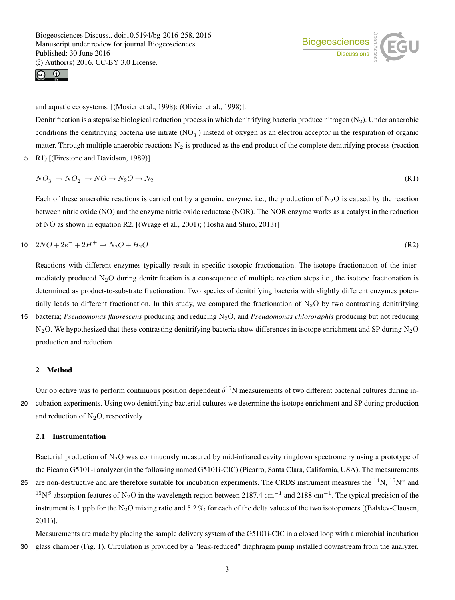



and aquatic ecosystems. [(Mosier et al., 1998); (Olivier et al., 1998)].

Denitrification is a stepwise biological reduction process in which denitrifying bacteria produce nitrogen  $(N_2)$ . Under anaerobic conditions the denitrifying bacteria use nitrate  $(NO<sub>3</sub><sup>-</sup>)$  instead of oxygen as an electron acceptor in the respiration of organic matter. Through multiple anaerobic reactions  $N_2$  is produced as the end product of the complete denitrifying process (reaction 5 R1) [(Firestone and Davidson, 1989)].

$$
NO_3^- \to NO_2^- \to NO \to N_2O \to N_2
$$
\n(R1)

Each of these anaerobic reactions is carried out by a genuine enzyme, i.e., the production of  $N_2O$  is caused by the reaction between nitric oxide (NO) and the enzyme nitric oxide reductase (NOR). The NOR enzyme works as a catalyst in the reduction of NO as shown in equation R2. [(Wrage et al., 2001); (Tosha and Shiro, 2013)]

10 
$$
2NO + 2e^- + 2H^+ \rightarrow N_2O + H_2O
$$
 (R2)

Reactions with different enzymes typically result in specific isotopic fractionation. The isotope fractionation of the intermediately produced  $N_2O$  during denitrification is a consequence of multiple reaction steps i.e., the isotope fractionation is determined as product-to-substrate fractionation. Two species of denitrifying bacteria with slightly different enzymes potentially leads to different fractionation. In this study, we compared the fractionation of  $N_2O$  by two contrasting denitrifying 15 bacteria; *Pseudomonas fluorescens* producing and reducing N2O, and *Pseudomonas chlororaphis* producing but not reducing  $N_2O$ . We hypothesized that these contrasting denitrifying bacteria show differences in isotope enrichment and SP during  $N_2O$ 

#### 2 Method

Our objective was to perform continuous position dependent  $\delta^{15}N$  measurements of two different bacterial cultures during in-20 cubation experiments. Using two denitrifying bacterial cultures we determine the isotope enrichment and SP during production and reduction of  $N_2O$ , respectively.

## 2.1 Instrumentation

production and reduction.

Bacterial production of  $N_2O$  was continuously measured by mid-infrared cavity ringdown spectrometry using a prototype of the Picarro G5101-i analyzer (in the following named G5101i-CIC) (Picarro, Santa Clara, California, USA). The measurements

25 are non-destructive and are therefore suitable for incubation experiments. The CRDS instrument measures the  $^{14}N$ ,  $^{15}N^{\alpha}$  and  $15N^{\beta}$  absorption features of N<sub>2</sub>O in the wavelength region between 2187.4 cm<sup>-1</sup> and 2188 cm<sup>-1</sup>. The typical precision of the instrument is 1 ppb for the N<sub>2</sub>O mixing ratio and 5.2 % for each of the delta values of the two isotopomers [(Balslev-Clausen, 2011)].

Measurements are made by placing the sample delivery system of the G5101i-CIC in a closed loop with a microbial incubation 30 glass chamber (Fig. 1). Circulation is provided by a "leak-reduced" diaphragm pump installed downstream from the analyzer.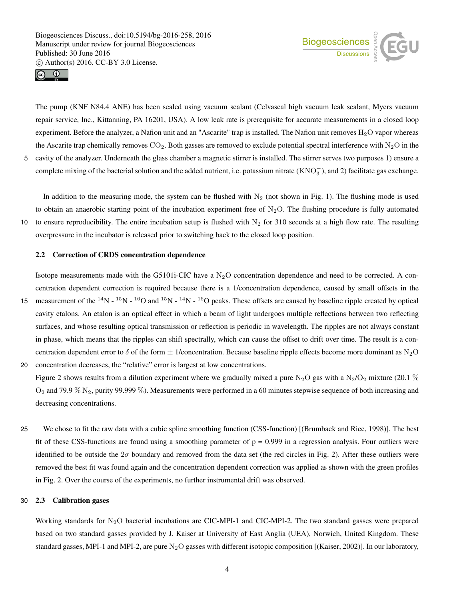



The pump (KNF N84.4 ANE) has been sealed using vacuum sealant (Celvaseal high vacuum leak sealant, Myers vacuum repair service, Inc., Kittanning, PA 16201, USA). A low leak rate is prerequisite for accurate measurements in a closed loop experiment. Before the analyzer, a Nafion unit and an "Ascarite" trap is installed. The Nafion unit removes  $H_2O$  vapor whereas the Ascarite trap chemically removes  $CO_2$ . Both gasses are removed to exclude potential spectral interference with  $N_2O$  in the

5 cavity of the analyzer. Underneath the glass chamber a magnetic stirrer is installed. The stirrer serves two purposes 1) ensure a complete mixing of the bacterial solution and the added nutrient, i.e. potassium nitrate  $(KNO<sub>3</sub><sup>-</sup>)$ , and 2) facilitate gas exchange.

In addition to the measuring mode, the system can be flushed with  $N_2$  (not shown in Fig. 1). The flushing mode is used to obtain an anaerobic starting point of the incubation experiment free of  $N_2O$ . The flushing procedure is fully automated 10 to ensure reproducibility. The entire incubation setup is flushed with  $N_2$  for 310 seconds at a high flow rate. The resulting overpressure in the incubator is released prior to switching back to the closed loop position.

# 2.2 Correction of CRDS concentration dependence

Isotope measurements made with the G5101i-CIC have a  $N_2O$  concentration dependence and need to be corrected. A concentration dependent correction is required because there is a 1/concentration dependence, caused by small offsets in the

15 measurement of the  $^{14}N - ^{15}N - ^{16}O$  and  $^{15}N - ^{14}N - ^{16}O$  peaks. These offsets are caused by baseline ripple created by optical cavity etalons. An etalon is an optical effect in which a beam of light undergoes multiple reflections between two reflecting surfaces, and whose resulting optical transmission or reflection is periodic in wavelength. The ripples are not always constant in phase, which means that the ripples can shift spectrally, which can cause the offset to drift over time. The result is a concentration dependent error to  $\delta$  of the form  $\pm$  1/concentration. Because baseline ripple effects become more dominant as N<sub>2</sub>O 20 concentration decreases, the "relative" error is largest at low concentrations.

Figure 2 shows results from a dilution experiment where we gradually mixed a pure N<sub>2</sub>O gas with a N<sub>2</sub>/O<sub>2</sub> mixture (20.1 %)  $O_2$  and 79.9 %  $N_2$ , purity 99.999 %). Measurements were performed in a 60 minutes stepwise sequence of both increasing and decreasing concentrations.

25 We chose to fit the raw data with a cubic spline smoothing function (CSS-function) [(Brumback and Rice, 1998)]. The best fit of these CSS-functions are found using a smoothing parameter of  $p = 0.999$  in a regression analysis. Four outliers were identified to be outside the  $2\sigma$  boundary and removed from the data set (the red circles in Fig. 2). After these outliers were removed the best fit was found again and the concentration dependent correction was applied as shown with the green profiles in Fig. 2. Over the course of the experiments, no further instrumental drift was observed.

## 30 2.3 Calibration gases

Working standards for N<sub>2</sub>O bacterial incubations are CIC-MPI-1 and CIC-MPI-2. The two standard gasses were prepared based on two standard gasses provided by J. Kaiser at University of East Anglia (UEA), Norwich, United Kingdom. These standard gasses, MPI-1 and MPI-2, are pure  $N_2O$  gasses with different isotopic composition [(Kaiser, 2002)]. In our laboratory,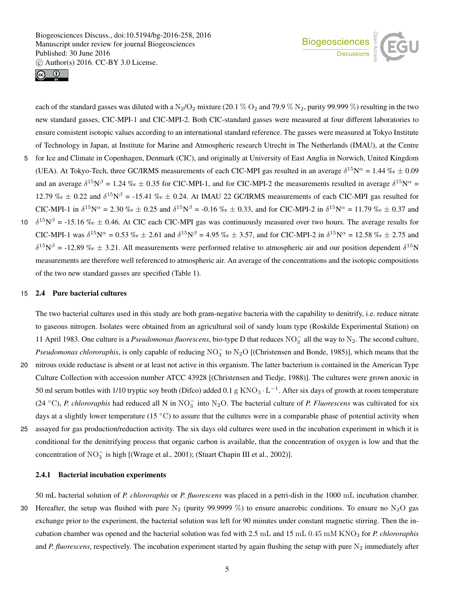



each of the standard gasses was diluted with a  $N_2/O_2$  mixture (20.1 %  $O_2$  and 79.9 %  $N_2$ , purity 99.999 %) resulting in the two new standard gasses, CIC-MPI-1 and CIC-MPI-2. Both CIC-standard gasses were measured at four different laboratories to ensure consistent isotopic values according to an international standard reference. The gasses were measured at Tokyo Institute of Technology in Japan, at Institute for Marine and Atmospheric research Utrecht in The Netherlands (IMAU), at the Centre 5 for Ice and Climate in Copenhagen, Denmark (CIC), and originally at University of East Anglia in Norwich, United Kingdom (UEA). At Tokyo-Tech, three GC/IRMS measurements of each CIC-MPI gas resulted in an average  $\delta^{15}N^{\alpha} = 1.44\%$   $\alpha \pm 0.09$ and an average  $\delta^{15}N^{\beta} = 1.24\%$   $\phi \pm 0.35$  for CIC-MPI-1, and for CIC-MPI-2 the measurements resulted in average  $\delta^{15}N^{\alpha} =$ 12.79 ‰  $\pm$  0.22 and  $\delta^{15}N^{\beta}$  = -15.41 ‰  $\pm$  0.24. At IMAU 22 GC/IRMS measurements of each CIC-MPI gas resulted for CIC-MPI-1 in  $\delta^{15}N^{\alpha} = 2.30 \%$   $\alpha \pm 0.25$  and  $\delta^{15}N^{\beta} = -0.16 \%$   $\alpha \pm 0.33$ , and for CIC-MPI-2 in  $\delta^{15}N^{\alpha} = 11.79 \%$   $\alpha \pm 0.37$  and 10  $\delta^{15}N^{\beta}$  = -15.16 ‰  $\pm$  0.46. At CIC each CIC-MPI gas was continuously measured over two hours. The average results for CIC-MPI-1 was  $\delta^{15}N^{\alpha} = 0.53 \%$   $\alpha \pm 2.61$  and  $\delta^{15}N^{\beta} = 4.95 \%$   $\alpha \pm 3.57$ , and for CIC-MPI-2 in  $\delta^{15}N^{\alpha} = 12.58 \%$   $\alpha \pm 2.75$  and

 $\delta^{15}N^{\beta}$  = -12.89 %  $\pm$  3.21. All measurements were performed relative to atmospheric air and our position dependent  $\delta^{15}N$ measurements are therefore well referenced to atmospheric air. An average of the concentrations and the isotopic compositions of the two new standard gasses are specified (Table 1).

#### 15 2.4 Pure bacterial cultures

The two bacterial cultures used in this study are both gram-negative bacteria with the capability to denitrify, i.e. reduce nitrate to gaseous nitrogen. Isolates were obtained from an agricultural soil of sandy loam type (Roskilde Experimental Station) on 11 April 1983. One culture is a *Pseudomonas fluorescens*, bio-type D that reduces  $NO_3^-$  all the way to  $N_2$ . The second culture, *Pseudomonas chlororaphis*, is only capable of reducing NO<sub>3</sub> to N<sub>2</sub>O [(Christensen and Bonde, 1985)], which means that the

- 20 nitrous oxide reductase is absent or at least not active in this organism. The latter bacterium is contained in the American Type Culture Collection with accession number ATCC 43928 [(Christensen and Tiedje, 1988)]. The cultures were grown anoxic in 50 ml serum bottles with 1/10 tryptic soy broth (Difco) added  $0.1 \text{ g KNO}_3 \cdot L^{-1}$ . After six days of growth at room temperature  $(24 °C)$ , *P. chlororaphis* had reduced all N in NO<sub>3</sub> into N<sub>2</sub>O. The bacterial culture of *P. Fluorescens* was cultivated for six days at a slightly lower temperature (15 $^{\circ}$ C) to assure that the cultures were in a comparable phase of potential activity when
- 25 assayed for gas production/reduction activity. The six days old cultures were used in the incubation experiment in which it is conditional for the denitrifying process that organic carbon is available, that the concentration of oxygen is low and that the concentration of  $NO_3^-$  is high [(Wrage et al., 2001); (Stuart Chapin III et al., 2002)].

# 2.4.1 Bacterial incubation experiments

50 mL bacterial solution of *P. chlororaphis* or *P. fluorescens* was placed in a petri-dish in the 1000 mL incubation chamber. 30 Hereafter, the setup was flushed with pure  $N_2$  (purity 99.9999 %) to ensure anaerobic conditions. To ensure no  $N_2O$  gas exchange prior to the experiment, the bacterial solution was left for 90 minutes under constant magnetic stirring. Then the incubation chamber was opened and the bacterial solution was fed with 2.5 mL and 15 mL 0.45 mM KNO<sub>3</sub> for *P. chlororaphis* and *P. fluorescens*, respectively. The incubation experiment started by again flushing the setup with pure  $N_2$  immediately after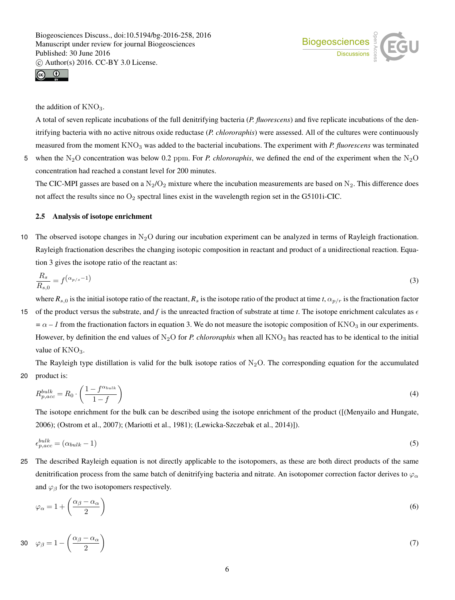



the addition of  $KNO_3$ .

value of  $KNO<sub>3</sub>$ .

A total of seven replicate incubations of the full denitrifying bacteria (*P. fluorescens*) and five replicate incubations of the denitrifying bacteria with no active nitrous oxide reductase (*P. chlororaphis*) were assessed. All of the cultures were continuously measured from the moment KNO<sub>3</sub> was added to the bacterial incubations. The experiment with *P. fluorescens* was terminated 5 when the N<sub>2</sub>O concentration was below 0.2 ppm. For *P. chlororaphis*, we defined the end of the experiment when the N<sub>2</sub>O

concentration had reached a constant level for 200 minutes.

The CIC-MPI gasses are based on a  $N_2/O_2$  mixture where the incubation measurements are based on  $N_2$ . This difference does not affect the results since no  $O_2$  spectral lines exist in the wavelength region set in the G5101i-CIC.

## 2.5 Analysis of isotope enrichment

10 The observed isotope changes in  $N_2O$  during our incubation experiment can be analyzed in terms of Rayleigh fractionation. Rayleigh fractionation describes the changing isotopic composition in reactant and product of a unidirectional reaction. Equation 3 gives the isotope ratio of the reactant as:

$$
\frac{R_s}{R_{s,0}} = f^{\left(\alpha_{p/s} - 1\right)}\tag{3}
$$

where  $R_{s,0}$  is the initial isotope ratio of the reactant,  $R_s$  is the isotope ratio of the product at time *t*,  $\alpha_{p/r}$  is the fractionation factor 15 of the product versus the substrate, and f is the unreacted fraction of substrate at time *t*. The isotope enrichment calculates as  $\epsilon$  $=\alpha - 1$  from the fractionation factors in equation 3. We do not measure the isotopic composition of KNO<sub>3</sub> in our experiments. However, by definition the end values of  $N_2O$  for *P. chlororaphis* when all KNO<sub>3</sub> has reacted has to be identical to the initial

The Rayleigh type distillation is valid for the bulk isotope ratios of  $N_2O$ . The corresponding equation for the accumulated 20 product is:

$$
R_{p,acc}^{bulk} = R_0 \cdot \left(\frac{1 - f^{\alpha_{bulk}}}{1 - f}\right) \tag{4}
$$

The isotope enrichment for the bulk can be described using the isotope enrichment of the product ([(Menyailo and Hungate, 2006); (Ostrom et al., 2007); (Mariotti et al., 1981); (Lewicka-Szczebak et al., 2014)]).

$$
\epsilon_{p,acc}^{bulk} = (\alpha_{bulk} - 1) \tag{5}
$$

25 The described Rayleigh equation is not directly applicable to the isotopomers, as these are both direct products of the same denitrification process from the same batch of denitrifying bacteria and nitrate. An isotopomer correction factor derives to  $\varphi_\alpha$ and  $\varphi_\beta$  for the two isotopomers respectively.

$$
\varphi_{\alpha} = 1 + \left(\frac{\alpha_{\beta} - \alpha_{\alpha}}{2}\right) \tag{6}
$$

$$
30 \quad \varphi_{\beta} = 1 - \left(\frac{\alpha_{\beta} - \alpha_{\alpha}}{2}\right) \tag{7}
$$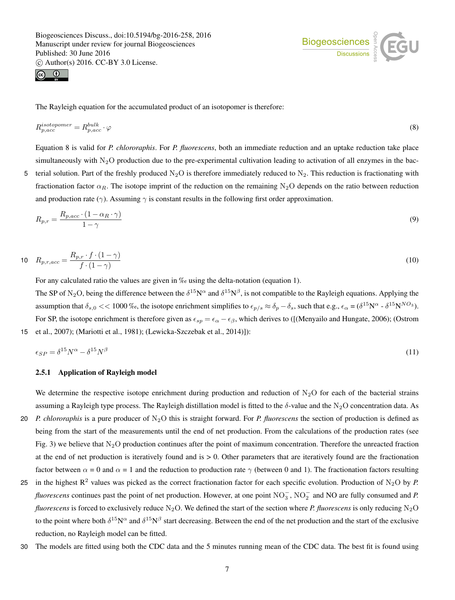Biogeosciences Discuss., doi:10.5194/bg-2016-258, 2016 Manuscript under review for journal Biogeosciences Published: 30 June 2016

c Author(s) 2016. CC-BY 3.0 License.





The Rayleigh equation for the accumulated product of an isotopomer is therefore:

$$
R_{p,acc}^{isotopomer} = R_{p,acc}^{bulk} \cdot \varphi \tag{8}
$$

Equation 8 is valid for *P. chlororaphis*. For *P. fluorescens*, both an immediate reduction and an uptake reduction take place simultaneously with  $N_2O$  production due to the pre-experimental cultivation leading to activation of all enzymes in the bac-5 terial solution. Part of the freshly produced  $N_2O$  is therefore immediately reduced to  $N_2$ . This reduction is fractionating with fractionation factor  $\alpha_R$ . The isotope imprint of the reduction on the remaining N<sub>2</sub>O depends on the ratio between reduction

$$
R_{p,r} = \frac{R_{p,acc} \cdot (1 - \alpha_R \cdot \gamma)}{1 - \gamma} \tag{9}
$$

10 
$$
R_{p,r,acc} = \frac{R_{p,r} \cdot f \cdot (1 - \gamma)}{f \cdot (1 - \gamma)}
$$
 (10)

For any calculated ratio the values are given in ‰ using the delta-notation (equation 1).

and production rate ( $\gamma$ ). Assuming  $\gamma$  is constant results in the following first order approximation.

The SP of N<sub>2</sub>O, being the difference between the  $\delta^{15}N^{\alpha}$  and  $\delta^{15}N^{\beta}$ , is not compatible to the Rayleigh equations. Applying the assumption that  $\delta_{s,0}$  << 1000 ‰, the isotope enrichment simplifies to  $\epsilon_{p/s} \approx \delta_p - \delta_s$ , such that e.g.,  $\epsilon_\alpha = (\delta^{15} N^\alpha - \delta^{15} N^{NO_3})$ . For SP, the isotope enrichment is therefore given as  $\epsilon_{sp} = \epsilon_\alpha - \epsilon_\beta$ , which derives to ([(Menyailo and Hungate, 2006); (Ostrom 15 et al., 2007); (Mariotti et al., 1981); (Lewicka-Szczebak et al., 2014)]):

$$
\epsilon_{SP} = \delta^{15} N^{\alpha} - \delta^{15} N^{\beta} \tag{11}
$$

#### 2.5.1 Application of Rayleigh model

We determine the respective isotope enrichment during production and reduction of  $N_2O$  for each of the bacterial strains assuming a Rayleigh type process. The Rayleigh distillation model is fitted to the  $\delta$ -value and the N<sub>2</sub>O concentration data. As

- 20 *P. chlororaphis* is a pure producer of N2O this is straight forward. For *P. fluorescens* the section of production is defined as being from the start of the measurements until the end of net production. From the calculations of the production rates (see Fig. 3) we believe that  $N_2O$  production continues after the point of maximum concentration. Therefore the unreacted fraction at the end of net production is iteratively found and is  $> 0$ . Other parameters that are iteratively found are the fractionation factor between  $\alpha = 0$  and  $\alpha = 1$  and the reduction to production rate  $\gamma$  (between 0 and 1). The fractionation factors resulting
- 25 in the highest  $R^2$  values was picked as the correct fractionation factor for each specific evolution. Production of N<sub>2</sub>O by *P*. *fluorescens* continues past the point of net production. However, at one point NO<sub>3</sub>, NO<sub>2</sub> and NO are fully consumed and *P*. *fluorescens* is forced to exclusively reduce  $N_2O$ . We defined the start of the section where *P. fluorescens* is only reducing  $N_2O$ to the point where both  $\delta^{15}N^{\alpha}$  and  $\delta^{15}N^{\beta}$  start decreasing. Between the end of the net production and the start of the exclusive reduction, no Rayleigh model can be fitted.
- 30 The models are fitted using both the CDC data and the 5 minutes running mean of the CDC data. The best fit is found using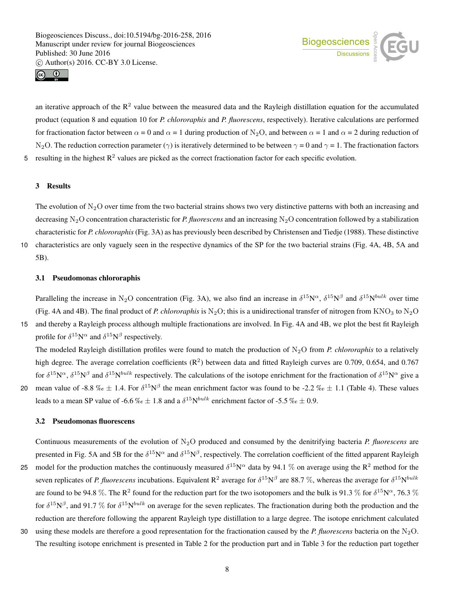





an iterative approach of the  $\mathbb{R}^2$  value between the measured data and the Rayleigh distillation equation for the accumulated product (equation 8 and equation 10 for *P. chlororaphis* and *P. fluorescens*, respectively). Iterative calculations are performed for fractionation factor between  $\alpha = 0$  and  $\alpha = 1$  during production of N<sub>2</sub>O, and between  $\alpha = 1$  and  $\alpha = 2$  during reduction of N<sub>2</sub>O. The reduction correction parameter ( $\gamma$ ) is iteratively determined to be between  $\gamma = 0$  and  $\gamma = 1$ . The fractionation factors 5 resulting in the highest  $R^2$  values are picked as the correct fractionation factor for each specific evolution.

## 3 Results

The evolution of  $N_2O$  over time from the two bacterial strains shows two very distinctive patterns with both an increasing and decreasing N2O concentration characteristic for *P. fluorescens* and an increasing N2O concentration followed by a stabilization characteristic for *P. chlororaphis* (Fig. 3A) as has previously been described by Christensen and Tiedje (1988). These distinctive

10 characteristics are only vaguely seen in the respective dynamics of the SP for the two bacterial strains (Fig. 4A, 4B, 5A and 5B).

# 3.1 Pseudomonas chlororaphis

Paralleling the increase in N<sub>2</sub>O concentration (Fig. 3A), we also find an increase in  $\delta^{15}N^{\alpha}$ ,  $\delta^{15}N^{\beta}$  and  $\delta^{15}N^{bulk}$  over time (Fig. 4A and 4B). The final product of *P. chlororaphis* is  $N_2O$ ; this is a unidirectional transfer of nitrogen from  $KNO_3$  to  $N_2O$ 15 and thereby a Rayleigh process although multiple fractionations are involved. In Fig. 4A and 4B, we plot the best fit Rayleigh

profile for  $\delta^{15}N^{\alpha}$  and  $\delta^{15}N^{\beta}$  respectively. The modeled Rayleigh distillation profiles were found to match the production of  $N_2O$  from *P. chlororaphis* to a relatively

high degree. The average correlation coefficients  $(R^2)$  between data and fitted Rayleigh curves are 0.709, 0.654, and 0.767 for  $\delta^{15}N^{\alpha}$ ,  $\delta^{15}N^{\beta}$  and  $\delta^{15}N^{bulk}$  respectively. The calculations of the isotope enrichment for the fractionation of  $\delta^{15}N^{\alpha}$  give a 20 mean value of -8.8 ‰  $\pm$  1.4. For  $\delta^{15}N^{\beta}$  the mean enrichment factor was found to be -2.2 ‰  $\pm$  1.1 (Table 4). These values leads to a mean SP value of -6.6  $\%$   $\epsilon \pm 1.8$  and a  $\delta^{15}N^{bulk}$  enrichment factor of -5.5  $\%$   $\epsilon \pm 0.9$ .

## 3.2 Pseudomonas fluorescens

Continuous measurements of the evolution of N2O produced and consumed by the denitrifying bacteria *P. fluorescens* are presented in Fig. 5A and 5B for the  $\delta^{15}N^{\alpha}$  and  $\delta^{15}N^{\beta}$ , respectively. The correlation coefficient of the fitted apparent Rayleigh

- 25 model for the production matches the continuously measured  $\delta^{15}N^{\alpha}$  data by 94.1 % on average using the R<sup>2</sup> method for the seven replicates of *P. fluorescens* incubations. Equivalent R<sup>2</sup> average for  $\delta^{15}N^{\beta}$  are 88.7 %, whereas the average for  $\delta^{15}N^{bulk}$ are found to be 94.8 %. The R<sup>2</sup> found for the reduction part for the two isotopomers and the bulk is 91.3 % for  $\delta^{15}N^{\alpha}$ , 76.3 % for  $\delta^{15}N^{\beta}$ , and 91.7 % for  $\delta^{15}N^{bulk}$  on average for the seven replicates. The fractionation during both the production and the reduction are therefore following the apparent Rayleigh type distillation to a large degree. The isotope enrichment calculated
- 30 using these models are therefore a good representation for the fractionation caused by the *P. fluorescens* bacteria on the  $N_2O$ . The resulting isotope enrichment is presented in Table 2 for the production part and in Table 3 for the reduction part together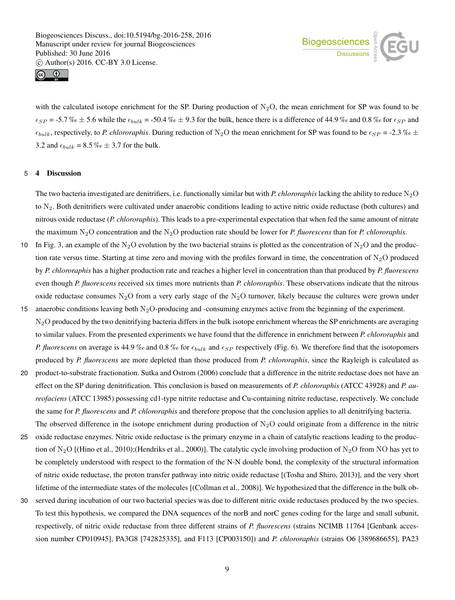Biogeosciences Discuss., doi:10.5194/bg-2016-258, 2016 Manuscript under review for journal Biogeosciences Published: 30 June 2016

c Author(s) 2016. CC-BY 3.0 License.





with the calculated isotope enrichment for the SP. During production of  $N_2O$ , the mean enrichment for SP was found to be  $\epsilon_{SP}$  = -5.7 ‰  $\pm$  5.6 while the  $\epsilon_{bulk}$  = -50.4 ‰  $\pm$  9.3 for the bulk, hence there is a difference of 44.9 ‰ and 0.8 ‰ for  $\epsilon_{SP}$  and  $\epsilon_{bulk}$ , respectively, to *P. chlororaphis*. During reduction of N<sub>2</sub>O the mean enrichment for SP was found to be  $\epsilon_{SP}$  = -2.3 ‰  $\pm$ 3.2 and  $\epsilon_{bulk} = 8.5 \% \approx \pm 3.7$  for the bulk.

#### 5 4 Discussion

The two bacteria investigated are denitrifiers, i.e. functionally similar but with *P. chlororaphis* lacking the ability to reduce  $N_2O$ to N2. Both denitrifiers were cultivated under anaerobic conditions leading to active nitric oxide reductase (both cultures) and nitrous oxide reductase (*P. chlororaphis*). This leads to a pre-experimental expectation that when fed the same amount of nitrate the maximum N2O concentration and the N2O production rate should be lower for *P. fluorescens* than for *P. chlororaphis*.

- 10 In Fig. 3, an example of the N<sub>2</sub>O evolution by the two bacterial strains is plotted as the concentration of N<sub>2</sub>O and the production rate versus time. Starting at time zero and moving with the profiles forward in time, the concentration of  $N_2O$  produced by *P. chlororaphis* has a higher production rate and reaches a higher level in concentration than that produced by *P. fluorescens* even though *P. fluorescens* received six times more nutrients than *P. chlororaphis*. These observations indicate that the nitrous oxide reductase consumes  $N_2O$  from a very early stage of the  $N_2O$  turnover, likely because the cultures were grown under
- 15 anaerobic conditions leaving both  $N_2O$ -producing and -consuming enzymes active from the beginning of the experiment.  $N<sub>2</sub>O$  produced by the two denitrifying bacteria differs in the bulk isotope enrichment whereas the SP enrichments are averaging to similar values. From the presented experiments we have found that the difference in enrichment between *P. chlororaphis* and *P. fluorescens* on average is 44.9 ‰ and 0.8 ‰ for  $\epsilon_{bulk}$  and  $\epsilon_{SP}$  respectively (Fig. 6). We therefore find that the isotopomers produced by *P. fluorescens* are more depleted than those produced from *P. chlororaphis*, since the Rayleigh is calculated as
- 20 product-to-substrate fractionation. Sutka and Ostrom (2006) conclude that a difference in the nitrite reductase does not have an effect on the SP during denitrification. This conclusion is based on measurements of *P. chlororaphis* (ATCC 43928) and *P. aureofaciens* (ATCC 13985) possessing cd1-type nitrite reductase and Cu-containing nitrite reductase, respectively. We conclude the same for *P. fluorescens* and *P. chlororaphis* and therefore propose that the conclusion applies to all denitrifying bacteria. The observed difference in the isotope enrichment during production of  $N<sub>2</sub>O$  could originate from a difference in the nitric
- 25 oxide reductase enzymes. Nitric oxide reductase is the primary enzyme in a chain of catalytic reactions leading to the production of N<sub>2</sub>O [(Hino et al., 2010);(Hendriks et al., 2000)]. The catalytic cycle involving production of N<sub>2</sub>O from NO has yet to be completely understood with respect to the formation of the N-N double bond, the complexity of the structural information of nitric oxide reductase, the proton transfer pathway into nitric oxide reductase [(Tosha and Shiro, 2013)], and the very short lifetime of the intermediate states of the molecules [(Collman et al., 2008)]. We hypothesized that the difference in the bulk ob-
- 30 served during incubation of our two bacterial species was due to different nitric oxide reductases produced by the two species. To test this hypothesis, we compared the DNA sequences of the norB and norC genes coding for the large and small subunit, respectively, of nitric oxide reductase from three different strains of *P. fluorescens* (strains NCIMB 11764 [Genbank accession number CP010945], PA3G8 [742825335], and F113 [CP003150]) and *P. chlororaphis* (strains O6 [389686655], PA23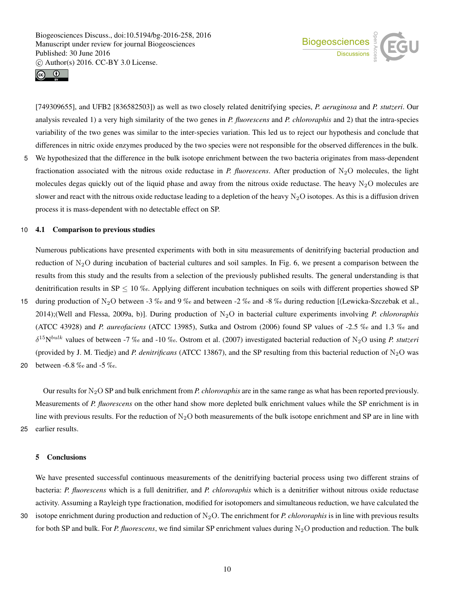



[749309655], and UFB2 [836582503]) as well as two closely related denitrifying species, *P. aeruginosa* and *P. stutzeri*. Our analysis revealed 1) a very high similarity of the two genes in *P. fluorescens* and *P. chlororaphis* and 2) that the intra-species variability of the two genes was similar to the inter-species variation. This led us to reject our hypothesis and conclude that differences in nitric oxide enzymes produced by the two species were not responsible for the observed differences in the bulk.

5 We hypothesized that the difference in the bulk isotope enrichment between the two bacteria originates from mass-dependent fractionation associated with the nitrous oxide reductase in *P. fluorescens*. After production of  $N_2O$  molecules, the light molecules degas quickly out of the liquid phase and away from the nitrous oxide reductase. The heavy  $N_2O$  molecules are slower and react with the nitrous oxide reductase leading to a depletion of the heavy  $N_2O$  isotopes. As this is a diffusion driven process it is mass-dependent with no detectable effect on SP.

#### 10 4.1 Comparison to previous studies

Numerous publications have presented experiments with both in situ measurements of denitrifying bacterial production and reduction of  $N_2O$  during incubation of bacterial cultures and soil samples. In Fig. 6, we present a comparison between the results from this study and the results from a selection of the previously published results. The general understanding is that denitrification results in  $SP \leq 10$  ‰. Applying different incubation techniques on soils with different properties showed SP

15 during production of N<sub>2</sub>O between -3 ‰ and 9 ‰ and between -2 ‰ and -8 ‰ during reduction [(Lewicka-Szczebak et al., 2014);(Well and Flessa, 2009a, b)]. During production of N2O in bacterial culture experiments involving *P. chlororaphis* (ATCC 43928) and *P. aureofaciens* (ATCC 13985), Sutka and Ostrom (2006) found SP values of -2.5 ‰ and 1.3 ‰ and  $\delta^{15}N^{bulk}$  values of between -7 ‰ and -10 ‰. Ostrom et al. (2007) investigated bacterial reduction of N<sub>2</sub>O using *P. stutzeri* (provided by J. M. Tiedje) and *P. denitrificans* (ATCC 13867), and the SP resulting from this bacterial reduction of  $N_2O$  was

20 between -6.8 ‰ and -5 ‰.

Our results for N2O SP and bulk enrichment from *P. chlororaphis* are in the same range as what has been reported previously. Measurements of *P. fluorescens* on the other hand show more depleted bulk enrichment values while the SP enrichment is in line with previous results. For the reduction of  $N_2O$  both measurements of the bulk isotope enrichment and SP are in line with 25 earlier results.

#### 5 Conclusions

We have presented successful continuous measurements of the denitrifying bacterial process using two different strains of bacteria: *P. fluorescens* which is a full denitrifier, and *P. chlororaphis* which is a denitrifier without nitrous oxide reductase activity. Assuming a Rayleigh type fractionation, modified for isotopomers and simultaneous reduction, we have calculated the

30 isotope enrichment during production and reduction of  $N_2O$ . The enrichment for *P. chlororaphis* is in line with previous results for both SP and bulk. For *P. fluorescens*, we find similar SP enrichment values during N<sub>2</sub>O production and reduction. The bulk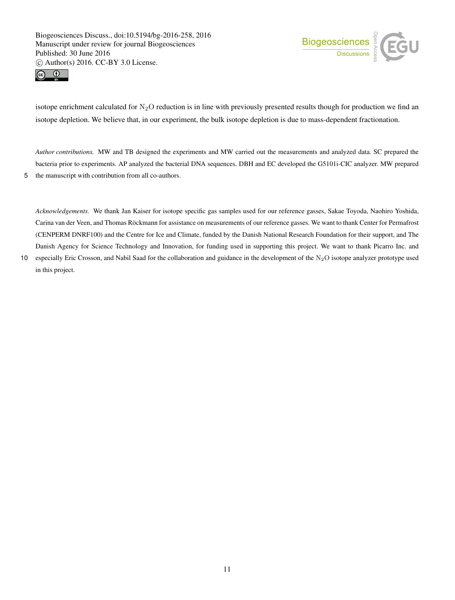



isotope enrichment calculated for  $N_2O$  reduction is in line with previously presented results though for production we find an isotope depletion. We believe that, in our experiment, the bulk isotope depletion is due to mass-dependent fractionation.

*Author contributions.* MW and TB designed the experiments and MW carried out the measurements and analyzed data. SC prepared the bacteria prior to experiments. AP analyzed the bacterial DNA sequences. DBH and EC developed the G5101i-CIC analyzer. MW prepared 5 the manuscript with contribution from all co-authors.

*Acknowledgements.* We thank Jan Kaiser for isotope specific gas samples used for our reference gasses, Sakae Toyoda, Naohiro Yoshida, Carina van der Veen, and Thomas Röckmann for assistance on measurements of our reference gasses. We want to thank Center for Permafrost (CENPERM DNRF100) and the Centre for Ice and Climate, funded by the Danish National Research Foundation for their support, and The Danish Agency for Science Technology and Innovation, for funding used in supporting this project. We want to thank Picarro Inc. and

10 especially Eric Crosson, and Nabil Saad for the collaboration and guidance in the development of the  $N_2O$  isotope analyzer prototype used in this project.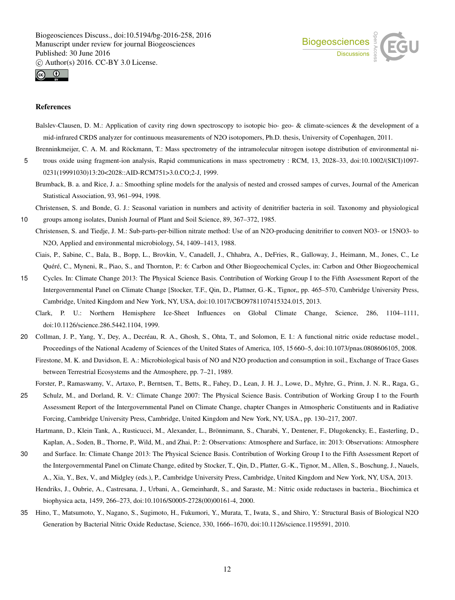



#### References

Balslev-Clausen, D. M.: Application of cavity ring down spectroscopy to isotopic bio- geo- & climate-sciences & the development of a mid-infrared CRDS analyzer for continuous measurements of N2O isotopomers, Ph.D. thesis, University of Copenhagen, 2011.

Brenninkmeijer, C. A. M. and Röckmann, T.: Mass spectrometry of the intramolecular nitrogen isotope distribution of environmental ni-

- 5 trous oxide using fragment-ion analysis, Rapid communications in mass spectrometry : RCM, 13, 2028–33, doi:10.1002/(SICI)1097- 0231(19991030)13:20<2028::AID-RCM751>3.0.CO;2-J, 1999.
	- Brumback, B. a. and Rice, J. a.: Smoothing spline models for the analysis of nested and crossed sampes of curves, Journal of the American Statistical Association, 93, 961–994, 1998.

Christensen, S. and Bonde, G. J.: Seasonal variation in numbers and activity of denitrifier bacteria in soil. Taxonomy and physiological

10 groups among isolates, Danish Journal of Plant and Soil Science, 89, 367–372, 1985.

- Christensen, S. and Tiedje, J. M.: Sub-parts-per-billion nitrate method: Use of an N2O-producing denitrifier to convert NO3- or 15NO3- to N2O, Applied and environmental microbiology, 54, 1409–1413, 1988.
	- Ciais, P., Sabine, C., Bala, B., Bopp, L., Brovkin, V., Canadell, J., Chhabra, A., DeFries, R., Galloway, J., Heimann, M., Jones, C., Le Quéré, C., Myneni, R., Piao, S., and Thornton, P.: 6: Carbon and Other Biogeochemical Cycles, in: Carbon and Other Biogeochemical
- 15 Cycles. In: Climate Change 2013: The Physical Science Basis. Contribution of Working Group I to the Fifth Assessment Report of the Intergovernmental Panel on Climate Change [Stocker, T.F., Qin, D., Plattner, G.-K., Tignor,, pp. 465–570, Cambridge University Press, Cambridge, United Kingdom and New York, NY, USA, doi:10.1017/CBO9781107415324.015, 2013.
	- Clark, P. U.: Northern Hemisphere Ice-Sheet Influences on Global Climate Change, Science, 286, 1104–1111, doi:10.1126/science.286.5442.1104, 1999.
- 20 Collman, J. P., Yang, Y., Dey, A., Decréau, R. A., Ghosh, S., Ohta, T., and Solomon, E. I.: A functional nitric oxide reductase model., Proceedings of the National Academy of Sciences of the United States of America, 105, 15 660–5, doi:10.1073/pnas.0808606105, 2008. Firestone, M. K. and Davidson, E. A.: Microbiological basis of NO and N2O production and consumption in soil., Exchange of Trace Gases between Terrestrial Ecosystems and the Atmosphere, pp. 7–21, 1989.

Forster, P., Ramaswamy, V., Artaxo, P., Berntsen, T., Betts, R., Fahey, D., Lean, J. H. J., Lowe, D., Myhre, G., Prinn, J. N. R., Raga, G.,

- 25 Schulz, M., and Dorland, R. V.: Climate Change 2007: The Physical Science Basis. Contribution of Working Group I to the Fourth Assessment Report of the Intergovernmental Panel on Climate Change, chapter Changes in Atmospheric Constituents and in Radiative Forcing, Cambridge University Press, Cambridge, United Kingdom and New York, NY, USA., pp. 130–217, 2007.
	- Hartmann, D., Klein Tank, A., Rusticucci, M., Alexander, L., Brönnimann, S., Charabi, Y., Dentener, F., Dlugokencky, E., Easterling, D., Kaplan, A., Soden, B., Thorne, P., Wild, M., and Zhai, P.: 2: Observations: Atmosphere and Surface, in: 2013: Observations: Atmosphere
- 30 and Surface. In: Climate Change 2013: The Physical Science Basis. Contribution of Working Group I to the Fifth Assessment Report of the Intergovernmental Panel on Climate Change, edited by Stocker, T., Qin, D., Platter, G.-K., Tignor, M., Allen, S., Boschung, J., Nauels, A., Xia, Y., Bex, V., and Midgley (eds.), P., Cambridge University Press, Cambridge, United Kingdom and New York, NY, USA, 2013.
	- Hendriks, J., Oubrie, A., Castresana, J., Urbani, A., Gemeinhardt, S., and Saraste, M.: Nitric oxide reductases in bacteria., Biochimica et biophysica acta, 1459, 266–273, doi:10.1016/S0005-2728(00)00161-4, 2000.
- 35 Hino, T., Matsumoto, Y., Nagano, S., Sugimoto, H., Fukumori, Y., Murata, T., Iwata, S., and Shiro, Y.: Structural Basis of Biological N2O Generation by Bacterial Nitric Oxide Reductase, Science, 330, 1666–1670, doi:10.1126/science.1195591, 2010.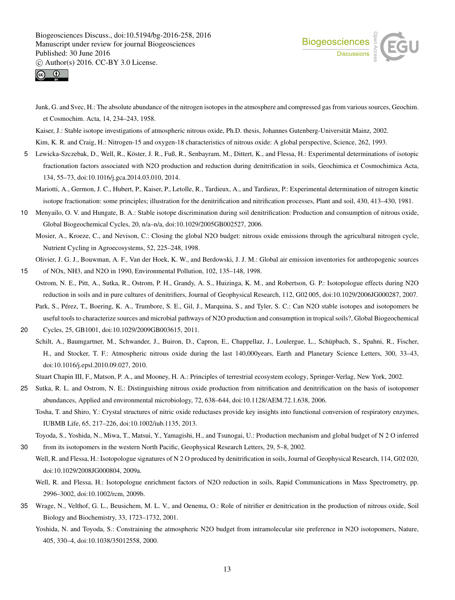



Junk, G. and Svec, H.: The absolute abundance of the nitrogen isotopes in the atmosphere and compressed gas from various sources, Geochim. et Cosmochim. Acta, 14, 234–243, 1958.

Kaiser, J.: Stable isotope investigations of atmospheric nitrous oxide, Ph.D. thesis, Johannes Gutenberg-Universität Mainz, 2002.

Kim, K. R. and Craig, H.: Nitrogen-15 and oxygen-18 characteristics of nitrous oxide: A global perspective, Science, 262, 1993.

- 5 Lewicka-Szczebak, D., Well, R., Köster, J. R., Fuß, R., Senbayram, M., Dittert, K., and Flessa, H.: Experimental determinations of isotopic fractionation factors associated with N2O production and reduction during denitrification in soils, Geochimica et Cosmochimica Acta, 134, 55–73, doi:10.1016/j.gca.2014.03.010, 2014.
	- Mariotti, A., Germon, J. C., Hubert, P., Kaiser, P., Letolle, R., Tardieux, A., and Tardieux, P.: Experimental determination of nitrogen kinetic isotope fractionation: some principles; illustration for the denitrification and nitrification processes, Plant and soil, 430, 413–430, 1981.
- 10 Menyailo, O. V. and Hungate, B. A.: Stable isotope discrimination during soil denitrification: Production and consumption of nitrous oxide, Global Biogeochemical Cycles, 20, n/a–n/a, doi:10.1029/2005GB002527, 2006.
	- Mosier, A., Kroeze, C., and Nevison, C.: Closing the global N2O budget: nitrous oxide emissions through the agricultural nitrogen cycle, Nutrient Cycling in Agroecosystems, 52, 225–248, 1998.

Olivier, J. G. J., Bouwman, A. F., Van der Hoek, K. W., and Berdowski, J. J. M.: Global air emission inventories for anthropogenic sources 15 of NOx, NH3, and N2O in 1990, Environmental Pollution, 102, 135–148, 1998.

- Ostrom, N. E., Pitt, A., Sutka, R., Ostrom, P. H., Grandy, A. S., Huizinga, K. M., and Robertson, G. P.: Isotopologue effects during N2O reduction in soils and in pure cultures of denitrifiers, Journal of Geophysical Research, 112, G02 005, doi:10.1029/2006JG000287, 2007.
	- Park, S., Pérez, T., Boering, K. A., Trumbore, S. E., Gil, J., Marquina, S., and Tyler, S. C.: Can N2O stable isotopes and isotopomers be useful tools to characterize sources and microbial pathways of N2O production and consumption in tropical soils?, Global Biogeochemical
- 20 Cycles, 25, GB1001, doi:10.1029/2009GB003615, 2011.
	- Schilt, A., Baumgartner, M., Schwander, J., Buiron, D., Capron, E., Chappellaz, J., Loulergue, L., Schüpbach, S., Spahni, R., Fischer, H., and Stocker, T. F.: Atmospheric nitrous oxide during the last 140,000years, Earth and Planetary Science Letters, 300, 33–43, doi:10.1016/j.epsl.2010.09.027, 2010.
	- Stuart Chapin III, F., Matson, P. A., and Mooney, H. A.: Principles of terrestrial ecosystem ecology, Springer-Verlag, New York, 2002.
- 25 Sutka, R. L. and Ostrom, N. E.: Distinguishing nitrous oxide production from nitrification and denitrification on the basis of isotopomer abundances, Applied and environmental microbiology, 72, 638–644, doi:10.1128/AEM.72.1.638, 2006.

Tosha, T. and Shiro, Y.: Crystal structures of nitric oxide reductases provide key insights into functional conversion of respiratory enzymes, IUBMB Life, 65, 217–226, doi:10.1002/iub.1135, 2013.

Toyoda, S., Yoshida, N., Miwa, T., Matsui, Y., Yamagishi, H., and Tsunogai, U.: Production mechanism and global budget of N 2 O inferred 30 from its isotopomers in the western North Pacific, Geophysical Research Letters, 29, 5–8, 2002.

Well, R. and Flessa, H.: Isotopologue signatures of N 2 O produced by denitrification in soils, Journal of Geophysical Research, 114, G02 020, doi:10.1029/2008JG000804, 2009a.

Well, R. and Flessa, H.: Isotopologue enrichment factors of N2O reduction in soils, Rapid Communications in Mass Spectrometry, pp. 2996–3002, doi:10.1002/rcm, 2009b.

- 35 Wrage, N., Velthof, G. L., Beusichem, M. L. V., and Oenema, O.: Role of nitrifier er denitrication in the production of nitrous oxide, Soil Biology and Biochemistry, 33, 1723–1732, 2001.
	- Yoshida, N. and Toyoda, S.: Constraining the atmospheric N2O budget from intramolecular site preference in N2O isotopomers, Nature, 405, 330–4, doi:10.1038/35012558, 2000.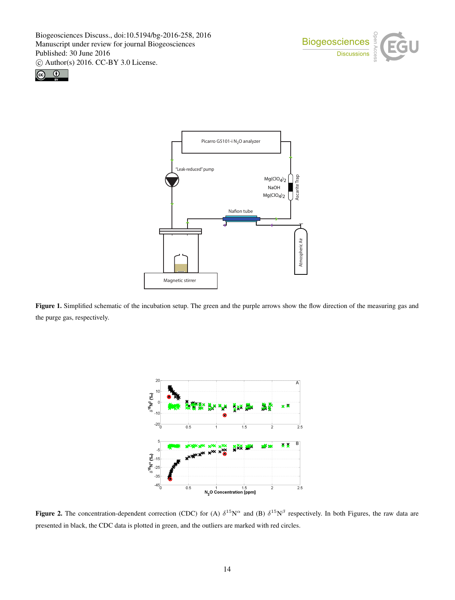





Figure 1. Simplified schematic of the incubation setup. The green and the purple arrows show the flow direction of the measuring gas and the purge gas, respectively.



Figure 2. The concentration-dependent correction (CDC) for (A)  $\delta^{15}N^{\alpha}$  and (B)  $\delta^{15}N^{\beta}$  respectively. In both Figures, the raw data are presented in black, the CDC data is plotted in green, and the outliers are marked with red circles.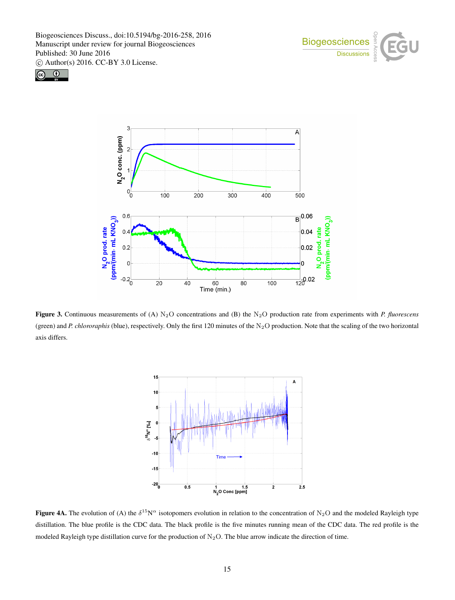





Figure 3. Continuous measurements of (A) N<sub>2</sub>O concentrations and (B) the N<sub>2</sub>O production rate from experiments with *P. fluorescens* (green) and *P. chlororaphis* (blue), respectively. Only the first 120 minutes of the N<sub>2</sub>O production. Note that the scaling of the two horizontal axis differs.



Figure 4A. The evolution of (A) the  $\delta^{15}N^{\alpha}$  isotopomers evolution in relation to the concentration of N<sub>2</sub>O and the modeled Rayleigh type distillation. The blue profile is the CDC data. The black profile is the five minutes running mean of the CDC data. The red profile is the modeled Rayleigh type distillation curve for the production of  $N_2O$ . The blue arrow indicate the direction of time.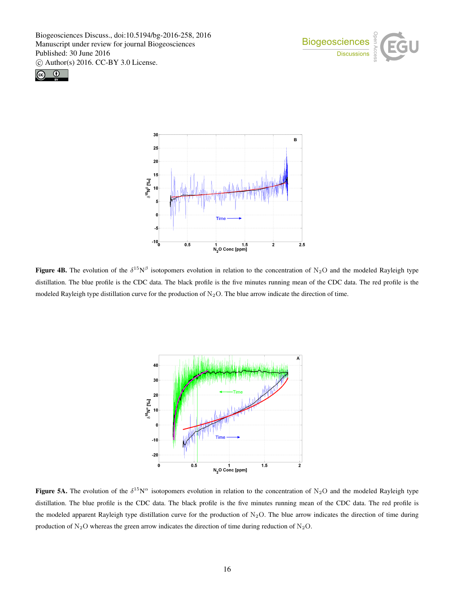





**Figure 4B.** The evolution of the  $\delta^{15}N^{\beta}$  isotopomers evolution in relation to the concentration of N<sub>2</sub>O and the modeled Rayleigh type distillation. The blue profile is the CDC data. The black profile is the five minutes running mean of the CDC data. The red profile is the modeled Rayleigh type distillation curve for the production of  $N_2O$ . The blue arrow indicate the direction of time.



Figure 5A. The evolution of the  $\delta^{15}N^{\alpha}$  isotopomers evolution in relation to the concentration of N<sub>2</sub>O and the modeled Rayleigh type distillation. The blue profile is the CDC data. The black profile is the five minutes running mean of the CDC data. The red profile is the modeled apparent Rayleigh type distillation curve for the production of  $N_2O$ . The blue arrow indicates the direction of time during production of  $N_2O$  whereas the green arrow indicates the direction of time during reduction of  $N_2O$ .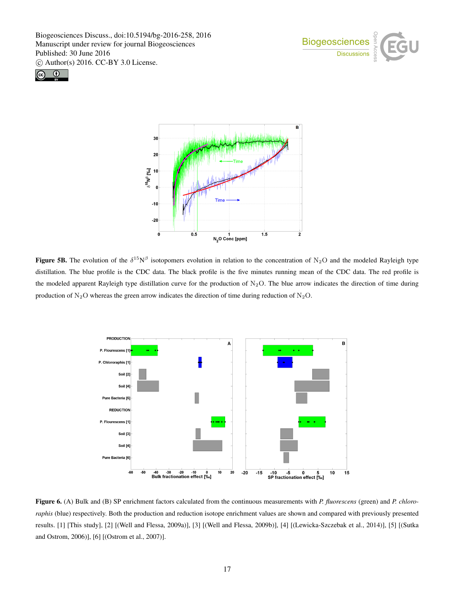





**Figure 5B.** The evolution of the  $\delta^{15}N^{\beta}$  isotopomers evolution in relation to the concentration of N<sub>2</sub>O and the modeled Rayleigh type distillation. The blue profile is the CDC data. The black profile is the five minutes running mean of the CDC data. The red profile is the modeled apparent Rayleigh type distillation curve for the production of  $N_2O$ . The blue arrow indicates the direction of time during production of N<sub>2</sub>O whereas the green arrow indicates the direction of time during reduction of N<sub>2</sub>O.



Figure 6. (A) Bulk and (B) SP enrichment factors calculated from the continuous measurements with *P. fluorescens* (green) and *P. chlororaphis* (blue) respectively. Both the production and reduction isotope enrichment values are shown and compared with previously presented results. [1] [This study], [2] [(Well and Flessa, 2009a)], [3] [(Well and Flessa, 2009b)], [4] [(Lewicka-Szczebak et al., 2014)], [5] [(Sutka and Ostrom, 2006)], [6] [(Ostrom et al., 2007)].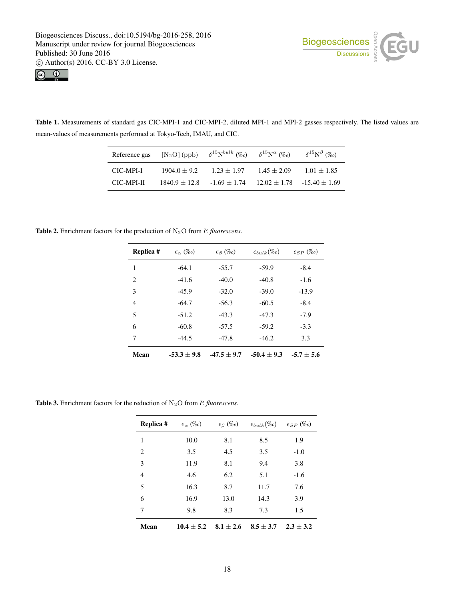



Table 1. Measurements of standard gas CIC-MPI-1 and CIC-MPI-2, diluted MPI-1 and MPI-2 gasses respectively. The listed values are mean-values of measurements performed at Tokyo-Tech, IMAU, and CIC.

| Reference gas | $[N_2O]$ (ppb)  | $\delta^{15}N^{bulk}$ (%o) | $\delta^{15}N^{\alpha}$ (%o) | $\delta^{15}N^{\beta}$ (%o)   |
|---------------|-----------------|----------------------------|------------------------------|-------------------------------|
| CIC-MPI-I     | $1904.0 + 9.2$  | $1.23 + 1.97$              | $1.45 + 2.09$                | $1.01 + 1.85$                 |
| CIC-MPI-II    | $1840.9 + 12.8$ | $-1.69 + 1.74$             |                              | $12.02 + 1.78 - 15.40 + 1.69$ |

Table 2. Enrichment factors for the production of N2O from *P. fluorescens*.

| Replica #   | $\epsilon_{\alpha}$ (%o) | $\epsilon_{\beta}$ (%o) | $\epsilon_{bulk}(\%o)$ | $\epsilon_{SP}$ (%o) |
|-------------|--------------------------|-------------------------|------------------------|----------------------|
| 1           | $-64.1$                  | $-55.7$                 | $-59.9$                | $-8.4$               |
| 2           | $-41.6$                  | $-40.0$                 | $-40.8$                | $-1.6$               |
| 3           | $-45.9$                  | $-32.0$                 | $-39.0$                | $-13.9$              |
| 4           | $-64.7$                  | $-56.3$                 | $-60.5$                | $-8.4$               |
| 5           | $-51.2$                  | $-43.3$                 | $-47.3$                | $-7.9$               |
| 6           | $-60.8$                  | $-57.5$                 | $-59.2$                | $-3.3$               |
| 7           | $-44.5$                  | $-47.8$                 | $-46.2$                | 3.3                  |
| <b>Mean</b> | $-53.3 + 9.8$            | $-47.5 + 9.7$           | $-50.4 + 9.3$          | $-5.7 + 5.6$         |

Table 3. Enrichment factors for the reduction of N2O from *P. fluorescens*.

| Replica #      | $\epsilon_{\alpha}$ (%o) | $\epsilon_{\beta}$ (%o) | $\epsilon_{bulk}(\%o)$ | $\epsilon_{SP}$ (%o) |
|----------------|--------------------------|-------------------------|------------------------|----------------------|
| 1              | 10.0                     | 8.1                     | 8.5                    | 1.9                  |
| 2              | 3.5                      | 4.5                     | 3.5                    | $-1.0$               |
| 3              | 11.9                     | 8.1                     | 9.4                    | 3.8                  |
| $\overline{4}$ | 4.6                      | 6.2                     | 5.1                    | $-1.6$               |
| 5              | 16.3                     | 8.7                     | 11.7                   | 7.6                  |
| 6              | 16.9                     | 13.0                    | 14.3                   | 3.9                  |
| 7              | 9.8                      | 8.3                     | 7.3                    | 1.5                  |
| Mean           | $10.4 + 5.2$             | $8.1 + 2.6$             | $8.5 + 3.7$            | $2.3 + 3.2$          |